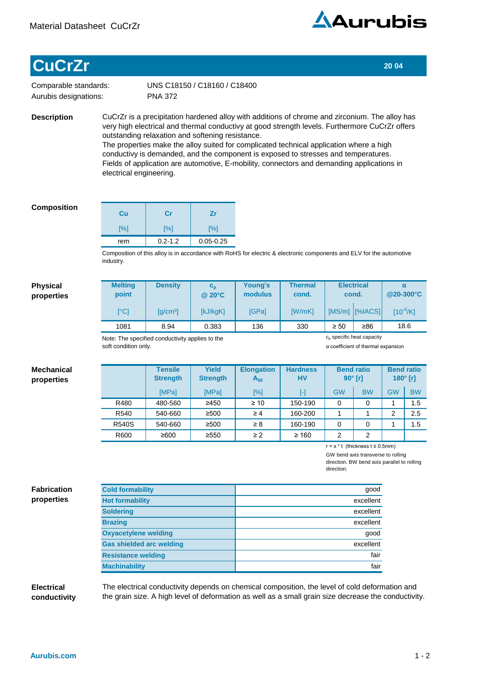

## **CuCrZr** 20 04

Comparable standards: Aurubis designations:

PNA 372 UNS C18150 / C18160 / C18400

**Description**

CuCrZr is a precipitation hardened alloy with additions of chrome and zirconium. The alloy has very high electrical and thermal conductivy at good strength levels. Furthermore CuCrZr offers outstanding relaxation and softening resistance. The properties make the alloy suited for complicated technical application where a high

conductivy is demanded, and the component is exposed to stresses and temperatures. Fields of application are automotive, E-mobility, connectors and demanding applications in electrical engineering.

## **Composition**

| Cu  | Cr          | Ζr            |
|-----|-------------|---------------|
| [%] | [%]         | [%]           |
| rem | $0.2 - 1.2$ | $0.05 - 0.25$ |

Composition of this alloy is in accordance with RoHS for electric & electronic components and ELV for the automotive industry.

## **Physical properties**

| <b>Melting</b><br>point                         | <b>Density</b>         | $c_{p}$<br>$@$ 20 $°C$ | Young's<br>modulus | <b>Thermal</b><br>cond. |                                       | <b>Electrical</b><br>cond. | $\alpha$<br>@20-300°C |
|-------------------------------------------------|------------------------|------------------------|--------------------|-------------------------|---------------------------------------|----------------------------|-----------------------|
| [°C]                                            | $\lceil q/cm^3 \rceil$ | [kJ/kgK]               | <b>IGPal</b>       | [W/mK]                  |                                       | $[MS/m]$ $[%[ACS]$         | $[10^{-6}/K]$         |
| 1081                                            | 8.94                   | 0.383                  | 136                | 330                     | $\geq 50$                             | ≥86                        | 18.6                  |
| Note: The specified conductivity applies to the |                        |                        |                    |                         | c <sub>p</sub> specific heat capacity |                            |                       |

Note: The specified conductivity applies to the soft condition only.

α coefficient of thermal expansion

| <b>Mechanical</b><br>properties |              | <b>Tensile</b><br><b>Strength</b> | <b>Yield</b><br><b>Strength</b> | <b>Elongation</b><br>$A_{50}$ | <b>Hardness</b><br>HV | <b>Bend ratio</b><br>$90^\circ$ [r] |                | <b>Bend ratio</b><br>$180°$ [r] |           |
|---------------------------------|--------------|-----------------------------------|---------------------------------|-------------------------------|-----------------------|-------------------------------------|----------------|---------------------------------|-----------|
|                                 |              | [MPa]                             | <b>IMPal</b>                    | [%]                           | H                     | <b>GW</b>                           | <b>BW</b>      | <b>GW</b>                       | <b>BW</b> |
|                                 | R480         | 480-560                           | $\geq 450$                      | $\geq 10$                     | 150-190               | 0                                   | 0              |                                 | 1.5       |
|                                 | R540         | 540-660                           | $\geq$ 500                      | $\geq 4$                      | 160-200               |                                     |                | 2                               | 2.5       |
|                                 | <b>R540S</b> | 540-660                           | $\geq$ 500                      | $\geq 8$                      | 160-190               | 0                                   | 0              |                                 | 1.5       |
|                                 | R600         | ≥600                              | $\geq 550$                      | $\geq$ 2                      | $\geq 160$            | 2                                   | $\overline{2}$ |                                 |           |

r=x\*t(thicknesst≤0.5mm)

GW bend axis transverse to rolling direction. BW bend axis parallel to rolling direction.

**Fabrication properties**

| <b>Cold formability</b>         | good      |
|---------------------------------|-----------|
| <b>Hot formability</b>          | excellent |
| <b>Soldering</b>                | excellent |
| <b>Brazing</b>                  | excellent |
| <b>Oxyacetylene welding</b>     | good      |
| <b>Gas shielded arc welding</b> | excellent |
| <b>Resistance welding</b>       | fair      |
| <b>Machinability</b>            | fair      |

## **Electrical conductivity**

The electrical conductivity depends on chemical composition, the level of cold deformation and the grain size. A high level of deformation as well as a small grain size decrease the conductivity.